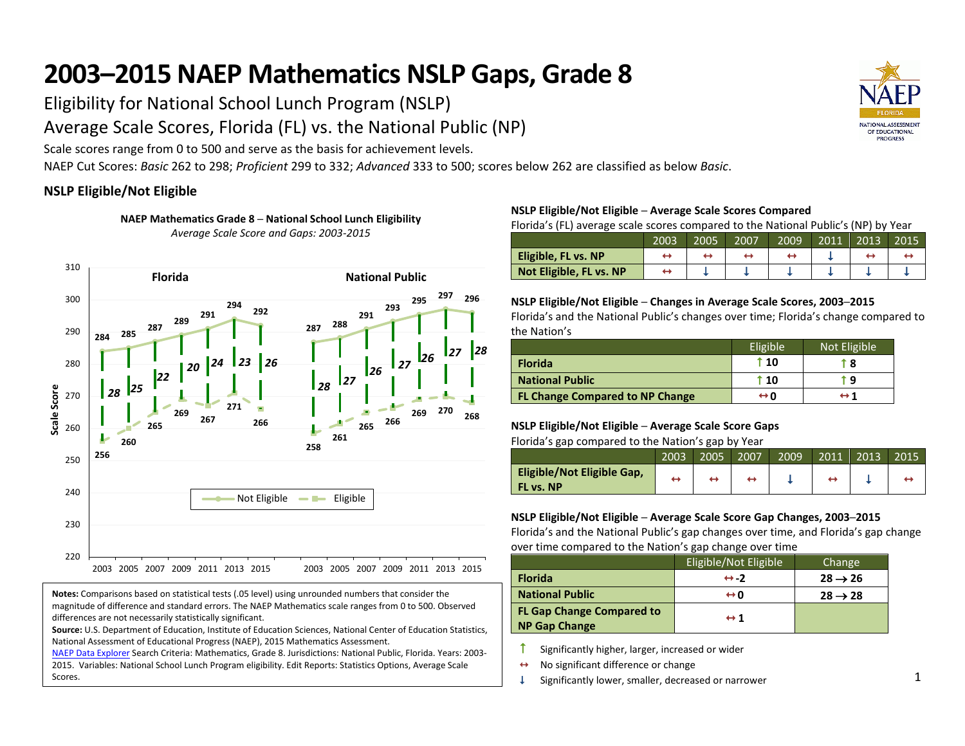# **2003–2015 NAEP Mathematics NSLP Gaps, Grade 8**

Eligibility for National School Lunch Program (NSLP)

Average Scale Scores, Florida (FL) vs. the National Public (NP)

Scale scores range from 0 to 500 and serve as the basis for achievement levels.

NAEP Cut Scores: *Basic* 262 to 298; *Proficient* 299 to 332; *Advanced* 333 to 500; scores below 262 are classified as below *Basic*.

## **NSLP Eligible/Not Eligible**

**NAEP Mathematics Grade 8 ─ National School Lunch Eligibility** *Average Scale Score and Gaps: 2003-2015*



**Notes:** Comparisons based on statistical tests (.05 level) using unrounded numbers that consider the magnitude of difference and standard errors. The NAEP Mathematics scale ranges from 0 to 500. Observed differences are not necessarily statistically significant.

**Source:** U.S. Department of Education, Institute of Education Sciences, National Center of Education Statistics, National Assessment of Educational Progress (NAEP), 2015 Mathematics Assessment.

[NAEP Data Explorer](http://nces.ed.gov/nationsreportcard/naepdata/) Search Criteria: Mathematics, Grade 8. Jurisdictions: National Public, Florida. Years: 2003- 2015. Variables: National School Lunch Program eligibility. Edit Reports: Statistics Options, Average Scale Scores.

### **NSLP Eligible/Not Eligible ─ Average Scale Scores Compared**

Florida's (FL) average scale scores compared to the National Public's (NP) by Year

|                         | 2003 | 2005 | 2007 | 2009 | 2011 | 2013 | 2015 |
|-------------------------|------|------|------|------|------|------|------|
| Eligible, FL vs. NP     |      |      |      |      |      |      |      |
| Not Eligible, FL vs. NP |      |      |      |      |      |      |      |

#### **NSLP Eligible/Not Eligible ─ Changes in Average Scale Scores, 2003─2015**

Florida's and the National Public's changes over time; Florida's change compared to the Nation's

|                                        | Eligible <sup>'</sup> | Not Eligible |
|----------------------------------------|-----------------------|--------------|
| <b>Florida</b>                         | $\cdot$ 10            | r 8          |
| <b>National Public</b>                 | $\uparrow$ 10         | r q          |
| <b>FL Change Compared to NP Change</b> | ⇔n                    | ↔ 1          |

#### **NSLP Eligible/Not Eligible ─ Average Scale Score Gaps** Florida's gap compared to the Nation's gap by Year

| ີ                                              | 2003 | 2005 | 2007 | 2009 | 2011 | 2013 | 2015 |
|------------------------------------------------|------|------|------|------|------|------|------|
| Eligible/Not Eligible Gap,<br><b>FL vs. NP</b> | -    |      |      |      | ↔    |      |      |

#### **NSLP Eligible/Not Eligible ─ Average Scale Score Gap Changes, 2003─2015**

Florida's and the National Public's gap changes over time, and Florida's gap change over time compared to the Nation's gap change over time

|                                  | Eligible/Not Eligible | Change              |
|----------------------------------|-----------------------|---------------------|
| <b>Florida</b>                   | $leftrightarrow -2$   | $28 \rightarrow 26$ |
| <b>National Public</b>           | ⇔n                    | $28 \rightarrow 28$ |
| <b>FL Gap Change Compared to</b> | $\leftrightarrow$ 1   |                     |
| <b>NP Gap Change</b>             |                       |                     |

 $\uparrow$  Significantly higher, larger, increased or wider

- **<sup>←</sup>** No significant difference or change
- $\downarrow$  Significantly lower, smaller, decreased or narrower

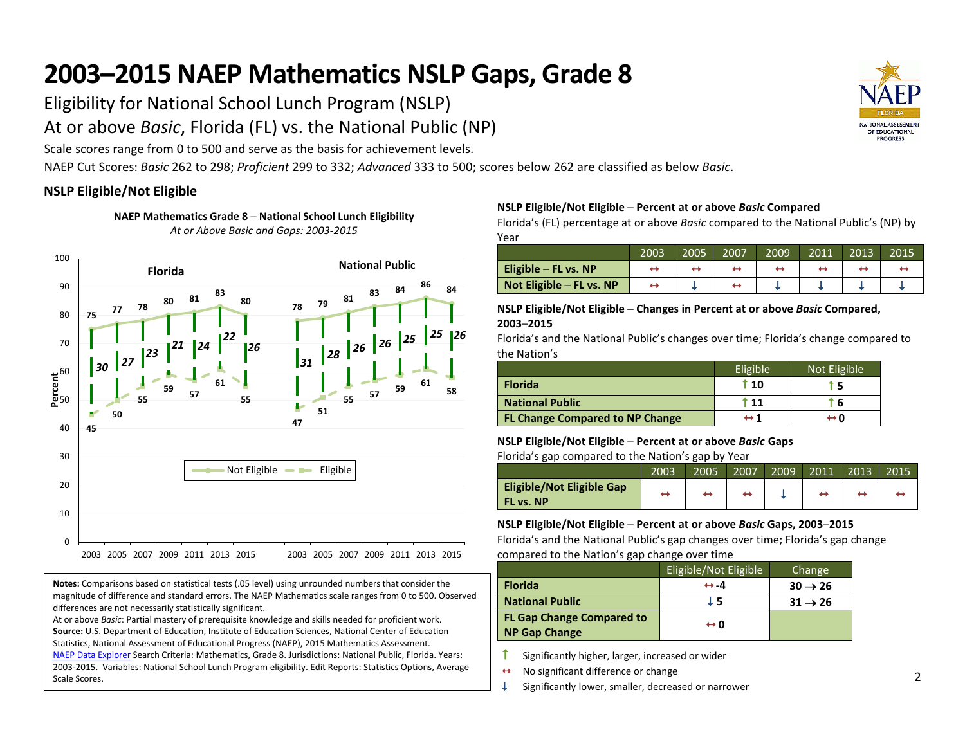# **2003–2015 NAEP Mathematics NSLP Gaps, Grade 8**

Eligibility for National School Lunch Program (NSLP)

At or above *Basic*, Florida (FL) vs. the National Public (NP)

Scale scores range from 0 to 500 and serve as the basis for achievement levels.

NAEP Cut Scores: *Basic* 262 to 298; *Proficient* 299 to 332; *Advanced* 333 to 500; scores below 262 are classified as below *Basic*.

## **NSLP Eligible/Not Eligible**

**NAEP Mathematics Grade 8 ─ National School Lunch Eligibility** *At or Above Basic and Gaps: 2003-2015*



**Notes:** Comparisons based on statistical tests (.05 level) using unrounded numbers that consider the magnitude of difference and standard errors. The NAEP Mathematics scale ranges from 0 to 500. Observed differences are not necessarily statistically significant.

At or above *Basic*: Partial mastery of prerequisite knowledge and skills needed for proficient work. **Source:** U.S. Department of Education, Institute of Education Sciences, National Center of Education Statistics, National Assessment of Educational Progress (NAEP), 2015 Mathematics Assessment. [NAEP Data Explorer](http://nces.ed.gov/nationsreportcard/naepdata/) Search Criteria: Mathematics, Grade 8. Jurisdictions: National Public, Florida. Years: 2003-2015. Variables: National School Lunch Program eligibility. Edit Reports: Statistics Options, Average Scale Scores.

### **NSLP Eligible/Not Eligible ─ Percent at or above** *Basic* **Compared**

Florida's (FL) percentage at or above *Basic* compared to the National Public's (NP) by Year

|                                  | 2003 | 2005 | 2007 | 2009 | 2011 | 2013 | 2015 |
|----------------------------------|------|------|------|------|------|------|------|
| Eligible $-$ FL vs. NP           |      |      |      |      |      |      |      |
| $\vert$ Not Eligible – FL vs. NP |      |      |      |      |      |      |      |

#### **NSLP Eligible/Not Eligible ─ Changes in Percent at or above** *Basic* **Compared, 2003─2015**

Florida's and the National Public's changes over time; Florida's change compared to the Nation's

|                                        | Eligible <sup>'</sup> | Not Eligible |
|----------------------------------------|-----------------------|--------------|
| <b>Florida</b>                         | $\uparrow$ 10         |              |
| <b>National Public</b>                 | <sup>ጉ</sup> 11       |              |
| <b>FL Change Compared to NP Change</b> | ↔ 1                   | ⇔ο           |

#### **NSLP Eligible/Not Eligible ─ Percent at or above** *Basic* **Gaps**

Florida's gap compared to the Nation's gap by Year

| -                                             |      |      |      |      |      |      |      |
|-----------------------------------------------|------|------|------|------|------|------|------|
|                                               | 2003 | 2005 | 2007 | 2009 | 2011 | 2013 | 2015 |
| <b>Eligible/Not Eligible Gap</b><br>FL vs. NP | ↔    |      | ↔    |      | ↔    |      |      |

#### **NSLP Eligible/Not Eligible ─ Percent at or above** *Basic* **Gaps, 2003─2015**

Florida's and the National Public's gap changes over time; Florida's gap change compared to the Nation's gap change over time

|                                                          | Eligible/Not Eligible | Change              |
|----------------------------------------------------------|-----------------------|---------------------|
| <b>Florida</b>                                           | $\leftrightarrow -4$  | $30 \rightarrow 26$ |
| <b>National Public</b>                                   | J 5                   | $31 \rightarrow 26$ |
| <b>FL Gap Change Compared to</b><br><b>NP Gap Change</b> | $\leftrightarrow$ 0   |                     |

Significantly higher, larger, increased or wider

- $\leftrightarrow$  No significant difference or change
- $\downarrow$  Significantly lower, smaller, decreased or narrower